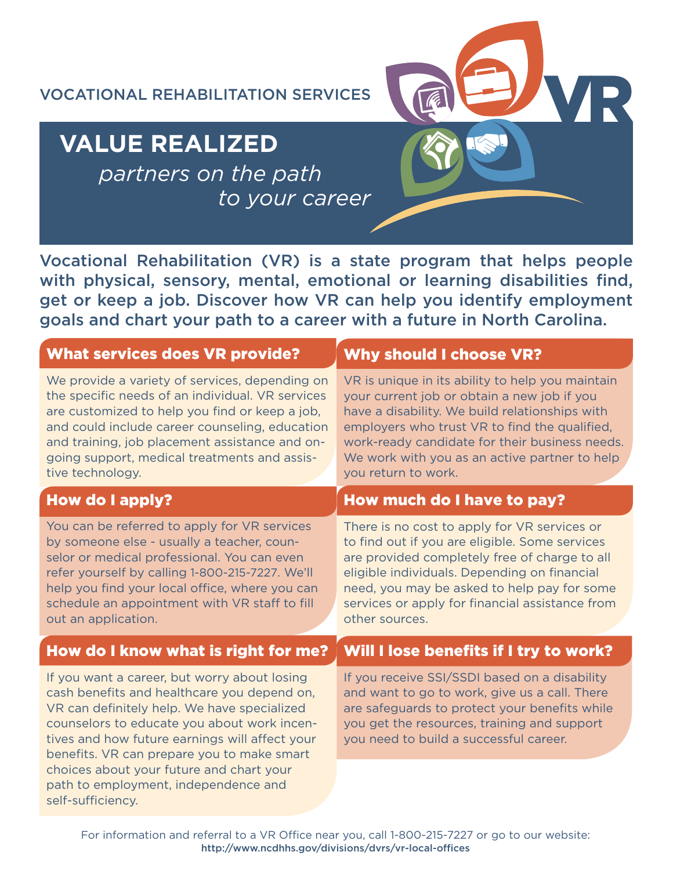VOCATIONAL REHABILITATION SERVICES

# **VALUE REALIZED**

*partners on the path to your career*

Vocational Rehabilitation (VR) is a state program that helps people with physical, sensory, mental, emotional or learning disabilities find, get or keep a job. Discover how VR can help you identify employment goals and chart your path to a career with a future in North Carolina.

VR

| <b>What services does VR provide?</b>                                                                                                                                                                                                                                                                                                                                                              | <b>Why should I choose VR?</b>                                                                                                                                                                                                                                                                                               |
|----------------------------------------------------------------------------------------------------------------------------------------------------------------------------------------------------------------------------------------------------------------------------------------------------------------------------------------------------------------------------------------------------|------------------------------------------------------------------------------------------------------------------------------------------------------------------------------------------------------------------------------------------------------------------------------------------------------------------------------|
| We provide a variety of services, depending on<br>the specific needs of an individual. VR services<br>are customized to help you find or keep a job,<br>and could include career counseling, education<br>and training, job placement assistance and on-<br>going support, medical treatments and assis-<br>tive technology.                                                                       | VR is unique in its ability to help you maintain<br>your current job or obtain a new job if you<br>have a disability. We build relationships with<br>employers who trust VR to find the qualified,<br>work-ready candidate for their business needs.<br>We work with you as an active partner to help<br>you return to work. |
| <b>How do I apply?</b>                                                                                                                                                                                                                                                                                                                                                                             | How much do I have to pay?                                                                                                                                                                                                                                                                                                   |
| You can be referred to apply for VR services<br>by someone else - usually a teacher, coun-<br>selor or medical professional. You can even<br>refer yourself by calling 1-800-215-7227. We'll<br>help you find your local office, where you can<br>schedule an appointment with VR staff to fill<br>out an application.                                                                             | There is no cost to apply for VR services or<br>to find out if you are eligible. Some services<br>are provided completely free of charge to all<br>eligible individuals. Depending on financial<br>need, you may be asked to help pay for some<br>services or apply for financial assistance from<br>other sources.          |
| How do I know what is right for me?                                                                                                                                                                                                                                                                                                                                                                | Will I lose benefits if I try to work?                                                                                                                                                                                                                                                                                       |
| If you want a career, but worry about losing<br>cash benefits and healthcare you depend on,<br>VR can definitely help. We have specialized<br>counselors to educate you about work incen-<br>tives and how future earnings will affect your<br>benefits. VR can prepare you to make smart<br>choices about your future and chart your<br>path to employment, independence and<br>self-sufficiency. | If you receive SSI/SSDI based on a disability<br>and want to go to work, give us a call. There<br>are safeguards to protect your benefits while<br>you get the resources, training and support<br>you need to build a successful career.                                                                                     |
|                                                                                                                                                                                                                                                                                                                                                                                                    |                                                                                                                                                                                                                                                                                                                              |

For information and referral to a VR Office near you, call 1-800-215-7227 or go to our website: http://www.ncdhhs.gov/divisions/dvrs/vr-local-offices